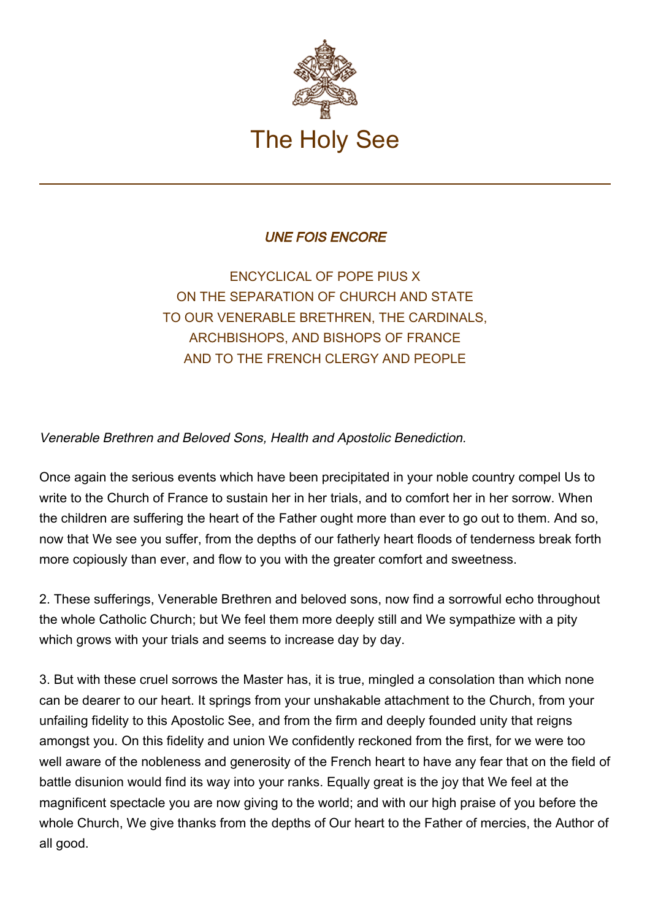

## UNE FOIS ENCORE

ENCYCLICAL OF POPE PIUS X ON THE SEPARATION OF CHURCH AND STATE TO OUR VENERABLE BRETHREN, THE CARDINALS, ARCHBISHOPS, AND BISHOPS OF FRANCE AND TO THE FRENCH CLERGY AND PEOPLE

Venerable Brethren and Beloved Sons, Health and Apostolic Benediction.

Once again the serious events which have been precipitated in your noble country compel Us to write to the Church of France to sustain her in her trials, and to comfort her in her sorrow. When the children are suffering the heart of the Father ought more than ever to go out to them. And so, now that We see you suffer, from the depths of our fatherly heart floods of tenderness break forth more copiously than ever, and flow to you with the greater comfort and sweetness.

2. These sufferings, Venerable Brethren and beloved sons, now find a sorrowful echo throughout the whole Catholic Church; but We feel them more deeply still and We sympathize with a pity which grows with your trials and seems to increase day by day.

3. But with these cruel sorrows the Master has, it is true, mingled a consolation than which none can be dearer to our heart. It springs from your unshakable attachment to the Church, from your unfailing fidelity to this Apostolic See, and from the firm and deeply founded unity that reigns amongst you. On this fidelity and union We confidently reckoned from the first, for we were too well aware of the nobleness and generosity of the French heart to have any fear that on the field of battle disunion would find its way into your ranks. Equally great is the joy that We feel at the magnificent spectacle you are now giving to the world; and with our high praise of you before the whole Church, We give thanks from the depths of Our heart to the Father of mercies, the Author of all good.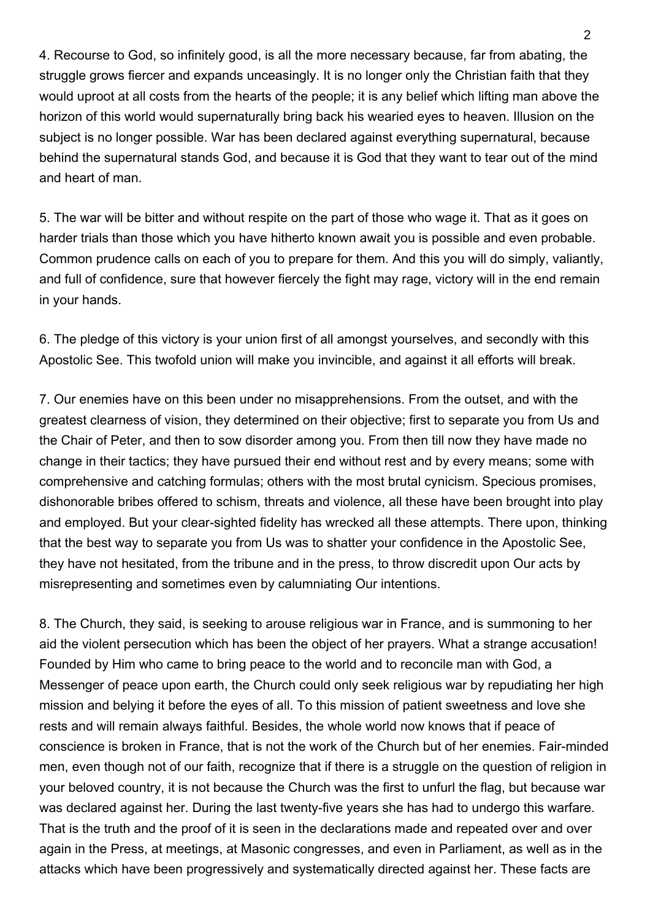4. Recourse to God, so infinitely good, is all the more necessary because, far from abating, the struggle grows fiercer and expands unceasingly. It is no longer only the Christian faith that they would uproot at all costs from the hearts of the people; it is any belief which lifting man above the horizon of this world would supernaturally bring back his wearied eyes to heaven. Illusion on the subject is no longer possible. War has been declared against everything supernatural, because behind the supernatural stands God, and because it is God that they want to tear out of the mind and heart of man.

5. The war will be bitter and without respite on the part of those who wage it. That as it goes on harder trials than those which you have hitherto known await you is possible and even probable. Common prudence calls on each of you to prepare for them. And this you will do simply, valiantly, and full of confidence, sure that however fiercely the fight may rage, victory will in the end remain in your hands.

6. The pledge of this victory is your union first of all amongst yourselves, and secondly with this Apostolic See. This twofold union will make you invincible, and against it all efforts will break.

7. Our enemies have on this been under no misapprehensions. From the outset, and with the greatest clearness of vision, they determined on their objective; first to separate you from Us and the Chair of Peter, and then to sow disorder among you. From then till now they have made no change in their tactics; they have pursued their end without rest and by every means; some with comprehensive and catching formulas; others with the most brutal cynicism. Specious promises, dishonorable bribes offered to schism, threats and violence, all these have been brought into play and employed. But your clear-sighted fidelity has wrecked all these attempts. There upon, thinking that the best way to separate you from Us was to shatter your confidence in the Apostolic See, they have not hesitated, from the tribune and in the press, to throw discredit upon Our acts by misrepresenting and sometimes even by calumniating Our intentions.

8. The Church, they said, is seeking to arouse religious war in France, and is summoning to her aid the violent persecution which has been the object of her prayers. What a strange accusation! Founded by Him who came to bring peace to the world and to reconcile man with God, a Messenger of peace upon earth, the Church could only seek religious war by repudiating her high mission and belying it before the eyes of all. To this mission of patient sweetness and love she rests and will remain always faithful. Besides, the whole world now knows that if peace of conscience is broken in France, that is not the work of the Church but of her enemies. Fair-minded men, even though not of our faith, recognize that if there is a struggle on the question of religion in your beloved country, it is not because the Church was the first to unfurl the flag, but because war was declared against her. During the last twenty-five years she has had to undergo this warfare. That is the truth and the proof of it is seen in the declarations made and repeated over and over again in the Press, at meetings, at Masonic congresses, and even in Parliament, as well as in the attacks which have been progressively and systematically directed against her. These facts are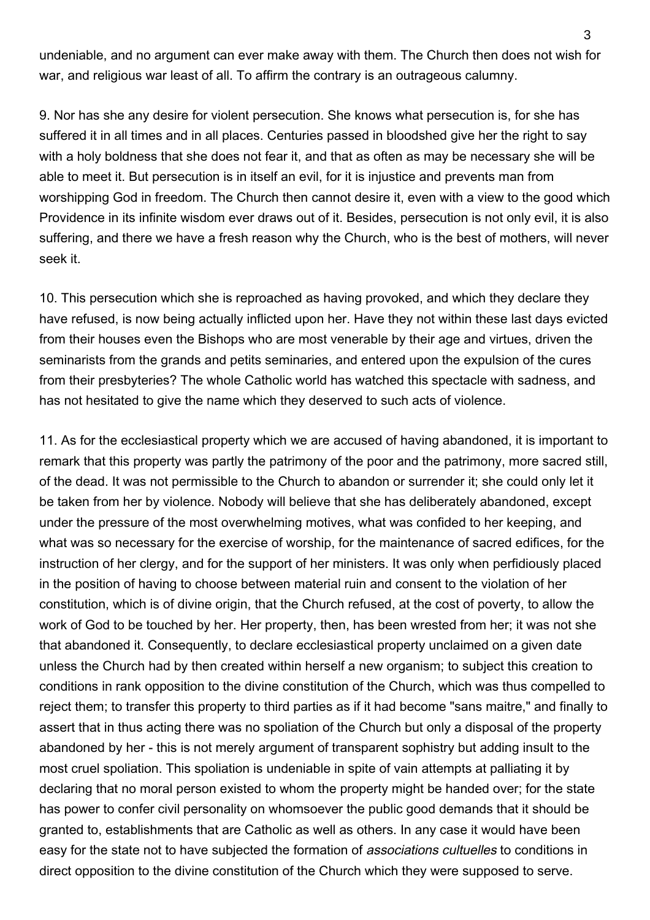undeniable, and no argument can ever make away with them. The Church then does not wish for war, and religious war least of all. To affirm the contrary is an outrageous calumny.

9. Nor has she any desire for violent persecution. She knows what persecution is, for she has suffered it in all times and in all places. Centuries passed in bloodshed give her the right to say with a holy boldness that she does not fear it, and that as often as may be necessary she will be able to meet it. But persecution is in itself an evil, for it is injustice and prevents man from worshipping God in freedom. The Church then cannot desire it, even with a view to the good which Providence in its infinite wisdom ever draws out of it. Besides, persecution is not only evil, it is also suffering, and there we have a fresh reason why the Church, who is the best of mothers, will never seek it.

10. This persecution which she is reproached as having provoked, and which they declare they have refused, is now being actually inflicted upon her. Have they not within these last days evicted from their houses even the Bishops who are most venerable by their age and virtues, driven the seminarists from the grands and petits seminaries, and entered upon the expulsion of the cures from their presbyteries? The whole Catholic world has watched this spectacle with sadness, and has not hesitated to give the name which they deserved to such acts of violence.

11. As for the ecclesiastical property which we are accused of having abandoned, it is important to remark that this property was partly the patrimony of the poor and the patrimony, more sacred still, of the dead. It was not permissible to the Church to abandon or surrender it; she could only let it be taken from her by violence. Nobody will believe that she has deliberately abandoned, except under the pressure of the most overwhelming motives, what was confided to her keeping, and what was so necessary for the exercise of worship, for the maintenance of sacred edifices, for the instruction of her clergy, and for the support of her ministers. It was only when perfidiously placed in the position of having to choose between material ruin and consent to the violation of her constitution, which is of divine origin, that the Church refused, at the cost of poverty, to allow the work of God to be touched by her. Her property, then, has been wrested from her; it was not she that abandoned it. Consequently, to declare ecclesiastical property unclaimed on a given date unless the Church had by then created within herself a new organism; to subject this creation to conditions in rank opposition to the divine constitution of the Church, which was thus compelled to reject them; to transfer this property to third parties as if it had become "sans maitre," and finally to assert that in thus acting there was no spoliation of the Church but only a disposal of the property abandoned by her - this is not merely argument of transparent sophistry but adding insult to the most cruel spoliation. This spoliation is undeniable in spite of vain attempts at palliating it by declaring that no moral person existed to whom the property might be handed over; for the state has power to confer civil personality on whomsoever the public good demands that it should be granted to, establishments that are Catholic as well as others. In any case it would have been easy for the state not to have subjected the formation of associations cultuelles to conditions in direct opposition to the divine constitution of the Church which they were supposed to serve.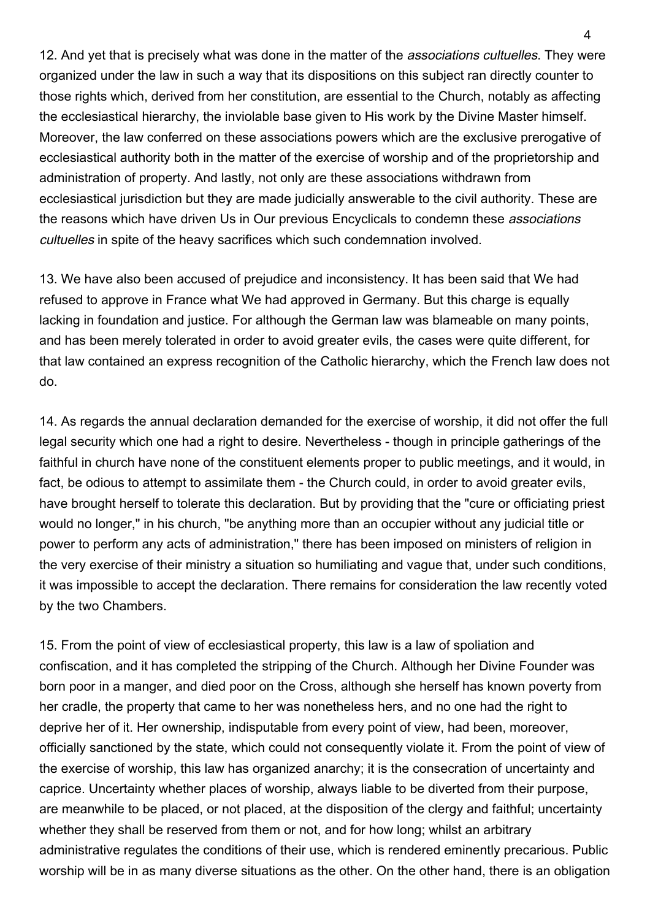12. And yet that is precisely what was done in the matter of the *associations cultuelles*. They were organized under the law in such a way that its dispositions on this subject ran directly counter to those rights which, derived from her constitution, are essential to the Church, notably as affecting the ecclesiastical hierarchy, the inviolable base given to His work by the Divine Master himself. Moreover, the law conferred on these associations powers which are the exclusive prerogative of ecclesiastical authority both in the matter of the exercise of worship and of the proprietorship and administration of property. And lastly, not only are these associations withdrawn from ecclesiastical jurisdiction but they are made judicially answerable to the civil authority. These are the reasons which have driven Us in Our previous Encyclicals to condemn these associations cultuelles in spite of the heavy sacrifices which such condemnation involved.

13. We have also been accused of prejudice and inconsistency. It has been said that We had refused to approve in France what We had approved in Germany. But this charge is equally lacking in foundation and justice. For although the German law was blameable on many points, and has been merely tolerated in order to avoid greater evils, the cases were quite different, for that law contained an express recognition of the Catholic hierarchy, which the French law does not do.

14. As regards the annual declaration demanded for the exercise of worship, it did not offer the full legal security which one had a right to desire. Nevertheless - though in principle gatherings of the faithful in church have none of the constituent elements proper to public meetings, and it would, in fact, be odious to attempt to assimilate them - the Church could, in order to avoid greater evils, have brought herself to tolerate this declaration. But by providing that the "cure or officiating priest would no longer," in his church, "be anything more than an occupier without any judicial title or power to perform any acts of administration," there has been imposed on ministers of religion in the very exercise of their ministry a situation so humiliating and vague that, under such conditions, it was impossible to accept the declaration. There remains for consideration the law recently voted by the two Chambers.

15. From the point of view of ecclesiastical property, this law is a law of spoliation and confiscation, and it has completed the stripping of the Church. Although her Divine Founder was born poor in a manger, and died poor on the Cross, although she herself has known poverty from her cradle, the property that came to her was nonetheless hers, and no one had the right to deprive her of it. Her ownership, indisputable from every point of view, had been, moreover, officially sanctioned by the state, which could not consequently violate it. From the point of view of the exercise of worship, this law has organized anarchy; it is the consecration of uncertainty and caprice. Uncertainty whether places of worship, always liable to be diverted from their purpose, are meanwhile to be placed, or not placed, at the disposition of the clergy and faithful; uncertainty whether they shall be reserved from them or not, and for how long; whilst an arbitrary administrative regulates the conditions of their use, which is rendered eminently precarious. Public worship will be in as many diverse situations as the other. On the other hand, there is an obligation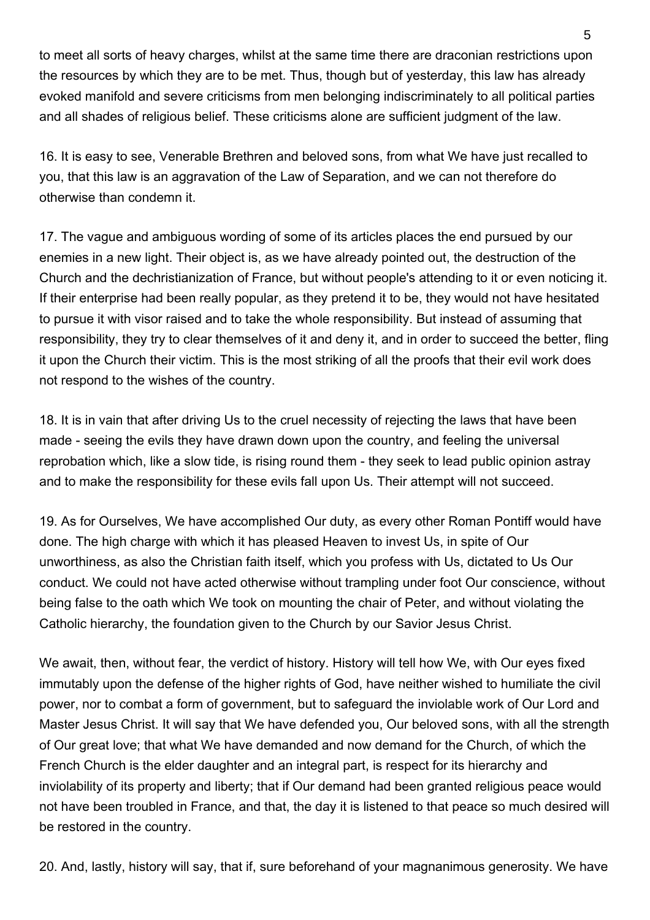to meet all sorts of heavy charges, whilst at the same time there are draconian restrictions upon the resources by which they are to be met. Thus, though but of yesterday, this law has already evoked manifold and severe criticisms from men belonging indiscriminately to all political parties and all shades of religious belief. These criticisms alone are sufficient judgment of the law.

16. It is easy to see, Venerable Brethren and beloved sons, from what We have just recalled to you, that this law is an aggravation of the Law of Separation, and we can not therefore do otherwise than condemn it.

17. The vague and ambiguous wording of some of its articles places the end pursued by our enemies in a new light. Their object is, as we have already pointed out, the destruction of the Church and the dechristianization of France, but without people's attending to it or even noticing it. If their enterprise had been really popular, as they pretend it to be, they would not have hesitated to pursue it with visor raised and to take the whole responsibility. But instead of assuming that responsibility, they try to clear themselves of it and deny it, and in order to succeed the better, fling it upon the Church their victim. This is the most striking of all the proofs that their evil work does not respond to the wishes of the country.

18. It is in vain that after driving Us to the cruel necessity of rejecting the laws that have been made - seeing the evils they have drawn down upon the country, and feeling the universal reprobation which, like a slow tide, is rising round them - they seek to lead public opinion astray and to make the responsibility for these evils fall upon Us. Their attempt will not succeed.

19. As for Ourselves, We have accomplished Our duty, as every other Roman Pontiff would have done. The high charge with which it has pleased Heaven to invest Us, in spite of Our unworthiness, as also the Christian faith itself, which you profess with Us, dictated to Us Our conduct. We could not have acted otherwise without trampling under foot Our conscience, without being false to the oath which We took on mounting the chair of Peter, and without violating the Catholic hierarchy, the foundation given to the Church by our Savior Jesus Christ.

We await, then, without fear, the verdict of history. History will tell how We, with Our eyes fixed immutably upon the defense of the higher rights of God, have neither wished to humiliate the civil power, nor to combat a form of government, but to safeguard the inviolable work of Our Lord and Master Jesus Christ. It will say that We have defended you, Our beloved sons, with all the strength of Our great love; that what We have demanded and now demand for the Church, of which the French Church is the elder daughter and an integral part, is respect for its hierarchy and inviolability of its property and liberty; that if Our demand had been granted religious peace would not have been troubled in France, and that, the day it is listened to that peace so much desired will be restored in the country.

20. And, lastly, history will say, that if, sure beforehand of your magnanimous generosity. We have